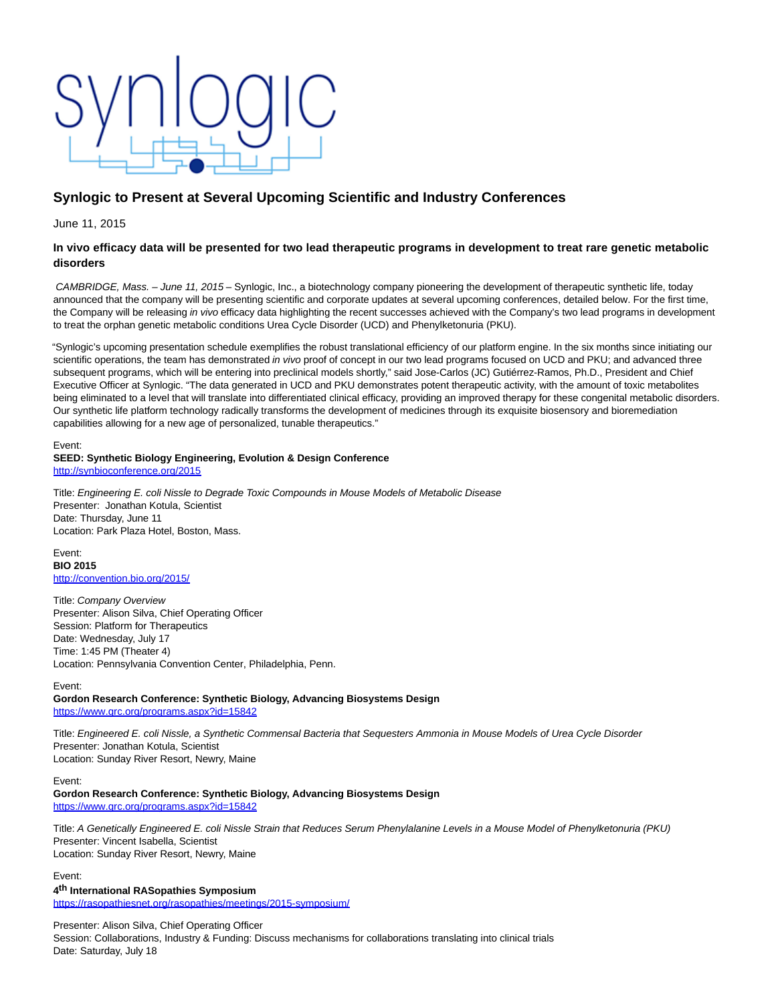# **Synlogic to Present at Several Upcoming Scientific and Industry Conferences**

June 11, 2015

# **In vivo efficacy data will be presented for two lead therapeutic programs in development to treat rare genetic metabolic disorders**

CAMBRIDGE, Mass. – June 11, 2015 – Synlogic, Inc., a biotechnology company pioneering the development of therapeutic synthetic life, today announced that the company will be presenting scientific and corporate updates at several upcoming conferences, detailed below. For the first time, the Company will be releasing in vivo efficacy data highlighting the recent successes achieved with the Company's two lead programs in development to treat the orphan genetic metabolic conditions Urea Cycle Disorder (UCD) and Phenylketonuria (PKU).

"Synlogic's upcoming presentation schedule exemplifies the robust translational efficiency of our platform engine. In the six months since initiating our scientific operations, the team has demonstrated in vivo proof of concept in our two lead programs focused on UCD and PKU; and advanced three subsequent programs, which will be entering into preclinical models shortly," said Jose-Carlos (JC) Gutiérrez-Ramos, Ph.D., President and Chief Executive Officer at Synlogic. "The data generated in UCD and PKU demonstrates potent therapeutic activity, with the amount of toxic metabolites being eliminated to a level that will translate into differentiated clinical efficacy, providing an improved therapy for these congenital metabolic disorders. Our synthetic life platform technology radically transforms the development of medicines through its exquisite biosensory and bioremediation capabilities allowing for a new age of personalized, tunable therapeutics."

#### Event: **SEED: Synthetic Biology Engineering, Evolution & Design Conference** <http://synbioconference.org/2015>

Title: Engineering E. coli Nissle to Degrade Toxic Compounds in Mouse Models of Metabolic Disease Presenter: Jonathan Kotula, Scientist Date: Thursday, June 11 Location: Park Plaza Hotel, Boston, Mass.

Event: **BIO 2015** <http://convention.bio.org/2015/>

Title: Company Overview Presenter: Alison Silva, Chief Operating Officer Session: Platform for Therapeutics Date: Wednesday, July 17 Time: 1:45 PM (Theater 4) Location: Pennsylvania Convention Center, Philadelphia, Penn.

Event:

**Gordon Research Conference: Synthetic Biology, Advancing Biosystems Design** <https://www.grc.org/programs.aspx?id=15842>

Title: Engineered E. coli Nissle, a Synthetic Commensal Bacteria that Sequesters Ammonia in Mouse Models of Urea Cycle Disorder Presenter: Jonathan Kotula, Scientist Location: Sunday River Resort, Newry, Maine

Event:

**Gordon Research Conference: Synthetic Biology, Advancing Biosystems Design** <https://www.grc.org/programs.aspx?id=15842>

Title: A Genetically Engineered E. coli Nissle Strain that Reduces Serum Phenylalanine Levels in a Mouse Model of Phenylketonuria (PKU) Presenter: Vincent Isabella, Scientist

Location: Sunday River Resort, Newry, Maine

Event:

**4 th International RASopathies Symposium** <https://rasopathiesnet.org/rasopathies/meetings/2015-symposium/>

Presenter: Alison Silva, Chief Operating Officer Session: Collaborations, Industry & Funding: Discuss mechanisms for collaborations translating into clinical trials Date: Saturday, July 18